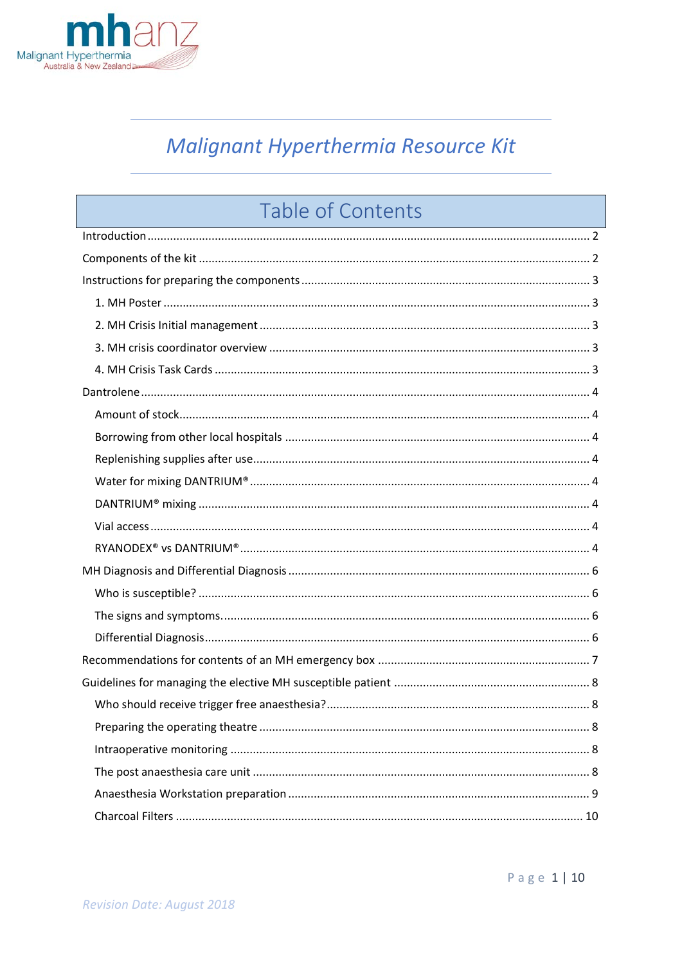

# Malignant Hyperthermia Resource Kit

# **Table of Contents**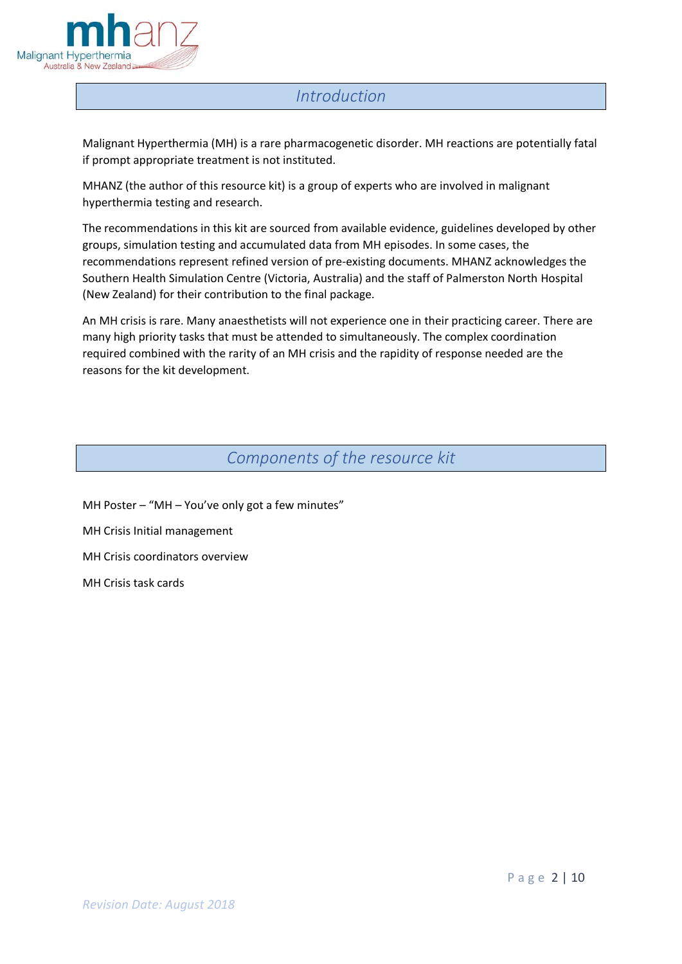

## *Introduction*

<span id="page-1-0"></span>Malignant Hyperthermia (MH) is a rare pharmacogenetic disorder. MH reactions are potentially fatal if prompt appropriate treatment is not instituted.

MHANZ (the author of this resource kit) is a group of experts who are involved in malignant hyperthermia testing and research.

The recommendations in this kit are sourced from available evidence, guidelines developed by other groups, simulation testing and accumulated data from MH episodes. In some cases, the recommendations represent refined version of pre-existing documents. MHANZ acknowledges the Southern Health Simulation Centre (Victoria, Australia) and the staff of Palmerston North Hospital (New Zealand) for their contribution to the final package.

An MH crisis is rare. Many anaesthetists will not experience one in their practicing career. There are many high priority tasks that must be attended to simultaneously. The complex coordination required combined with the rarity of an MH crisis and the rapidity of response needed are the reasons for the kit development.

## *Components of the resource kit*

- <span id="page-1-1"></span>MH Poster – "MH – You've only got a few minutes"
- MH Crisis Initial management
- MH Crisis coordinators overview

MH Crisis task cards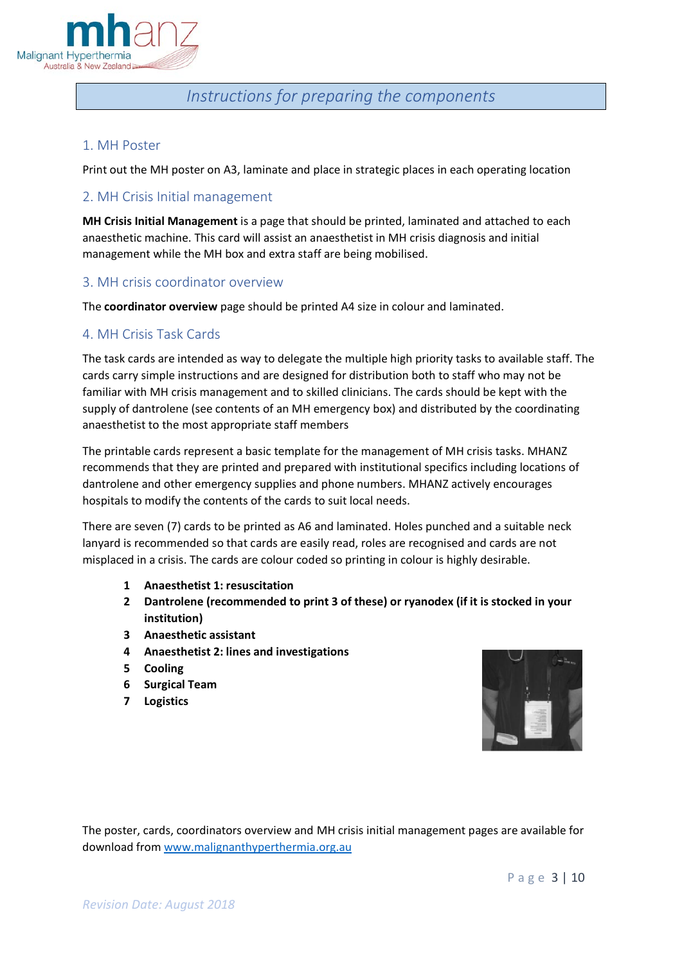

## *Instructions for preparing the components*

## <span id="page-2-1"></span><span id="page-2-0"></span>1. MH Poster

Print out the MH poster on A3, laminate and place in strategic places in each operating location

## <span id="page-2-2"></span>2. MH Crisis Initial management

**MH Crisis Initial Management** is a page that should be printed, laminated and attached to each anaesthetic machine. This card will assist an anaesthetist in MH crisis diagnosis and initial management while the MH box and extra staff are being mobilised.

## <span id="page-2-3"></span>3. MH crisis coordinator overview

The **coordinator overview** page should be printed A4 size in colour and laminated.

## <span id="page-2-4"></span>4. MH Crisis Task Cards

The task cards are intended as way to delegate the multiple high priority tasks to available staff. The cards carry simple instructions and are designed for distribution both to staff who may not be familiar with MH crisis management and to skilled clinicians. The cards should be kept with the supply of dantrolene (see contents of an MH emergency box) and distributed by the coordinating anaesthetist to the most appropriate staff members

The printable cards represent a basic template for the management of MH crisis tasks. MHANZ recommends that they are printed and prepared with institutional specifics including locations of dantrolene and other emergency supplies and phone numbers. MHANZ actively encourages hospitals to modify the contents of the cards to suit local needs.

There are seven (7) cards to be printed as A6 and laminated. Holes punched and a suitable neck lanyard is recommended so that cards are easily read, roles are recognised and cards are not misplaced in a crisis. The cards are colour coded so printing in colour is highly desirable.

- **1 Anaesthetist 1: resuscitation**
- **2 Dantrolene (recommended to print 3 of these) or ryanodex (if it is stocked in your institution)**
- **3 Anaesthetic assistant**
- **4 Anaesthetist 2: lines and investigations**
- **5 Cooling**
- **6 Surgical Team**
- **7 Logistics**



The poster, cards, coordinators overview and MH crisis initial management pages are available for download from [www.malignanthyperthermia.org.au](http://www.malignanthyperthermia.org.au/)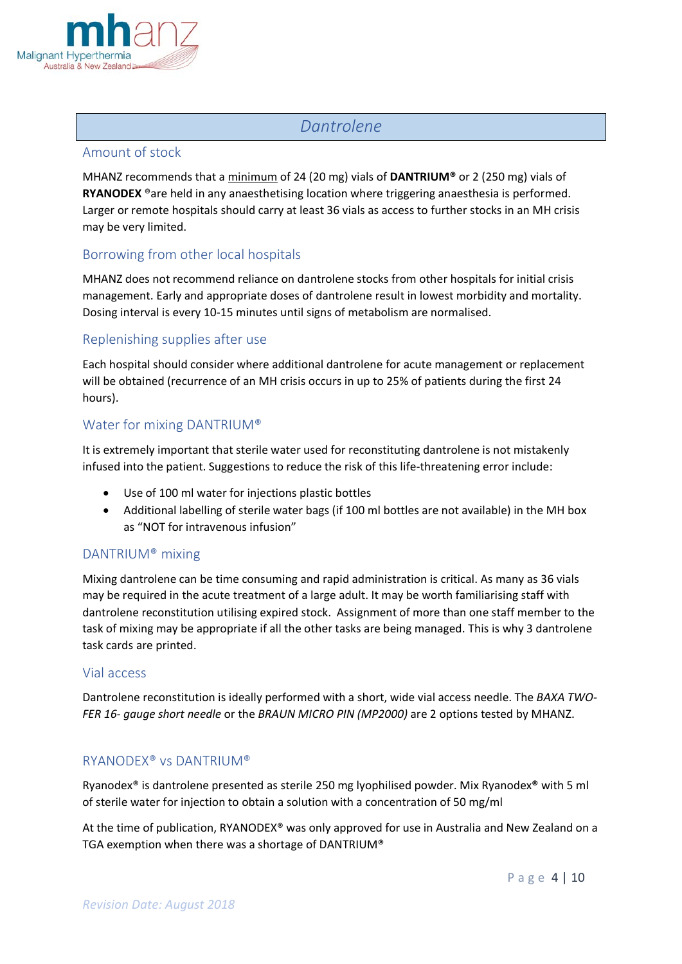

## *Dantrolene*

#### <span id="page-3-1"></span><span id="page-3-0"></span>Amount of stock

MHANZ recommends that a minimum of 24 (20 mg) vials of **DANTRIUM®** or 2 (250 mg) vials of **RYANODEX** ®are held in any anaesthetising location where triggering anaesthesia is performed. Larger or remote hospitals should carry at least 36 vials as access to further stocks in an MH crisis may be very limited.

## <span id="page-3-2"></span>Borrowing from other local hospitals

MHANZ does not recommend reliance on dantrolene stocks from other hospitals for initial crisis management. Early and appropriate doses of dantrolene result in lowest morbidity and mortality. Dosing interval is every 10-15 minutes until signs of metabolism are normalised.

## <span id="page-3-3"></span>Replenishing supplies after use

Each hospital should consider where additional dantrolene for acute management or replacement will be obtained (recurrence of an MH crisis occurs in up to 25% of patients during the first 24 hours).

## <span id="page-3-4"></span>Water for mixing DANTRIUM®

It is extremely important that sterile water used for reconstituting dantrolene is not mistakenly infused into the patient. Suggestions to reduce the risk of this life-threatening error include:

- Use of 100 ml water for injections plastic bottles
- Additional labelling of sterile water bags (if 100 ml bottles are not available) in the MH box as "NOT for intravenous infusion"

## <span id="page-3-5"></span>DANTRIUM® mixing

Mixing dantrolene can be time consuming and rapid administration is critical. As many as 36 vials may be required in the acute treatment of a large adult. It may be worth familiarising staff with dantrolene reconstitution utilising expired stock. Assignment of more than one staff member to the task of mixing may be appropriate if all the other tasks are being managed. This is why 3 dantrolene task cards are printed.

#### <span id="page-3-6"></span>Vial access

Dantrolene reconstitution is ideally performed with a short, wide vial access needle. The *BAXA TWO-FER 16- gauge short needle* or the *BRAUN MICRO PIN (MP2000)* are 2 options tested by MHANZ.

## <span id="page-3-7"></span>RYANODEX® vs DANTRIUM®

Ryanodex® is dantrolene presented as sterile 250 mg lyophilised powder. Mix Ryanodex**®** with 5 ml of sterile water for injection to obtain a solution with a concentration of 50 mg/ml

At the time of publication, RYANODEX® was only approved for use in Australia and New Zealand on a TGA exemption when there was a shortage of DANTRIUM®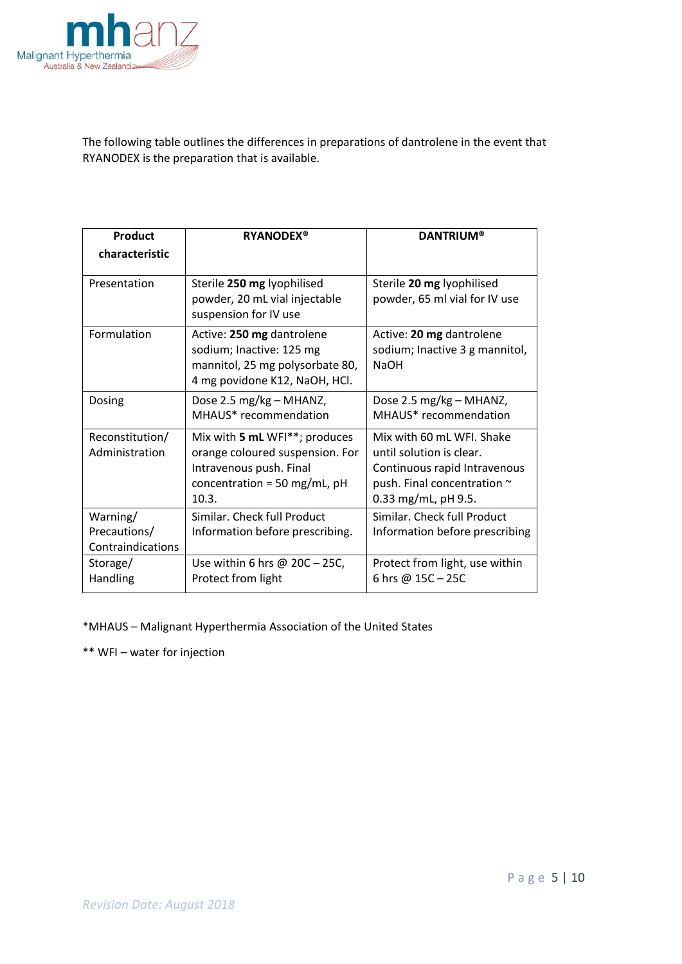

The following table outlines the differences in preparations of dantrolene in the event that RYANODEX is the preparation that is available.

| Product                                       | <b>RYANODEX®</b>                                                                                                                       | <b>DANTRIUM®</b>                                                                                                                            |  |
|-----------------------------------------------|----------------------------------------------------------------------------------------------------------------------------------------|---------------------------------------------------------------------------------------------------------------------------------------------|--|
| characteristic                                |                                                                                                                                        |                                                                                                                                             |  |
| Presentation                                  | Sterile 250 mg lyophilised<br>powder, 20 mL vial injectable<br>suspension for IV use                                                   | Sterile 20 mg lyophilised<br>powder, 65 ml vial for IV use                                                                                  |  |
| Formulation                                   | Active: 250 mg dantrolene<br>sodium; Inactive: 125 mg<br>mannitol, 25 mg polysorbate 80,<br>4 mg povidone K12, NaOH, HCl.              | Active: 20 mg dantrolene<br>sodium; Inactive 3 g mannitol,<br><b>NaOH</b>                                                                   |  |
| Dosing                                        | Dose 2.5 mg/kg - MHANZ,<br>MHAUS* recommendation                                                                                       | Dose 2.5 mg/kg - MHANZ,<br>MHAUS* recommendation                                                                                            |  |
| Reconstitution/<br>Administration             | Mix with 5 mL WFI**; produces<br>orange coloured suspension. For<br>Intravenous push. Final<br>concentration = 50 mg/mL, $pH$<br>10.3. | Mix with 60 mL WFI. Shake<br>until solution is clear.<br>Continuous rapid Intravenous<br>push. Final concentration ~<br>0.33 mg/mL, pH 9.5. |  |
| Warning/<br>Precautions/<br>Contraindications | Similar. Check full Product<br>Information before prescribing.                                                                         | Similar. Check full Product<br>Information before prescribing                                                                               |  |
| Storage/<br>Handling                          | Use within 6 hrs $@$ 20C - 25C,<br>Protect from light                                                                                  | Protect from light, use within<br>6 hrs @ 15C-25C                                                                                           |  |

\*MHAUS – Malignant Hyperthermia Association of the United States

\*\* WFI – water for injection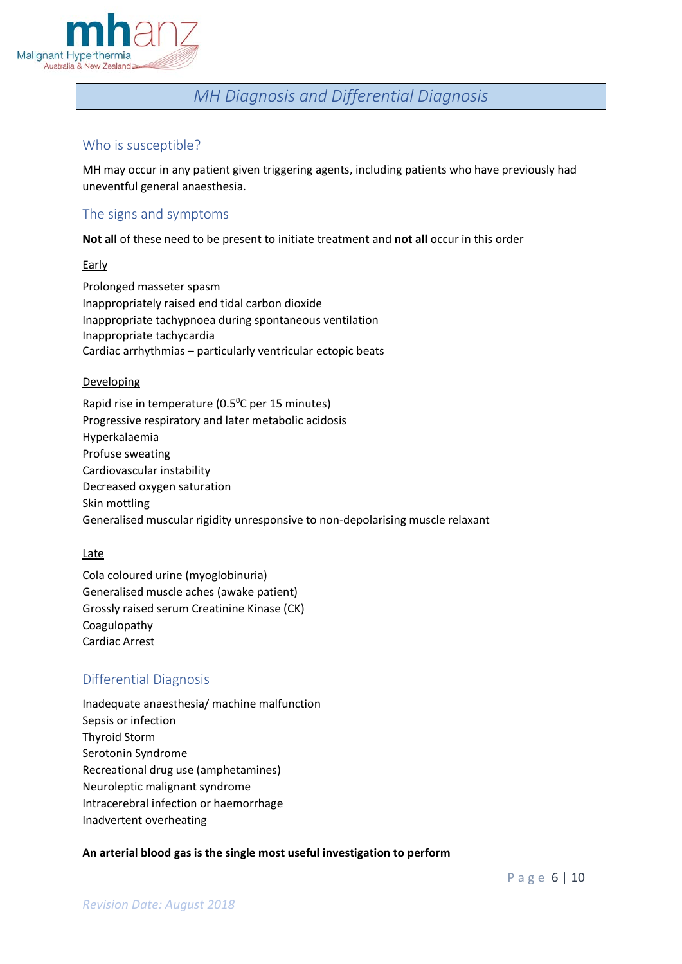

## *MH Diagnosis and Differential Diagnosis*

## <span id="page-5-1"></span><span id="page-5-0"></span>Who is susceptible?

MH may occur in any patient given triggering agents, including patients who have previously had uneventful general anaesthesia.

## <span id="page-5-2"></span>The signs and symptoms

**Not all** of these need to be present to initiate treatment and **not all** occur in this order

**Early** 

Prolonged masseter spasm Inappropriately raised end tidal carbon dioxide Inappropriate tachypnoea during spontaneous ventilation Inappropriate tachycardia Cardiac arrhythmias – particularly ventricular ectopic beats

#### Developing

Rapid rise in temperature (0.5<sup>o</sup>C per 15 minutes) Progressive respiratory and later metabolic acidosis Hyperkalaemia Profuse sweating Cardiovascular instability Decreased oxygen saturation Skin mottling Generalised muscular rigidity unresponsive to non-depolarising muscle relaxant

#### Late

Cola coloured urine (myoglobinuria) Generalised muscle aches (awake patient) Grossly raised serum Creatinine Kinase (CK) Coagulopathy Cardiac Arrest

## <span id="page-5-3"></span>Differential Diagnosis

Inadequate anaesthesia/ machine malfunction Sepsis or infection Thyroid Storm Serotonin Syndrome Recreational drug use (amphetamines) Neuroleptic malignant syndrome Intracerebral infection or haemorrhage Inadvertent overheating

## **An arterial blood gas is the single most useful investigation to perform**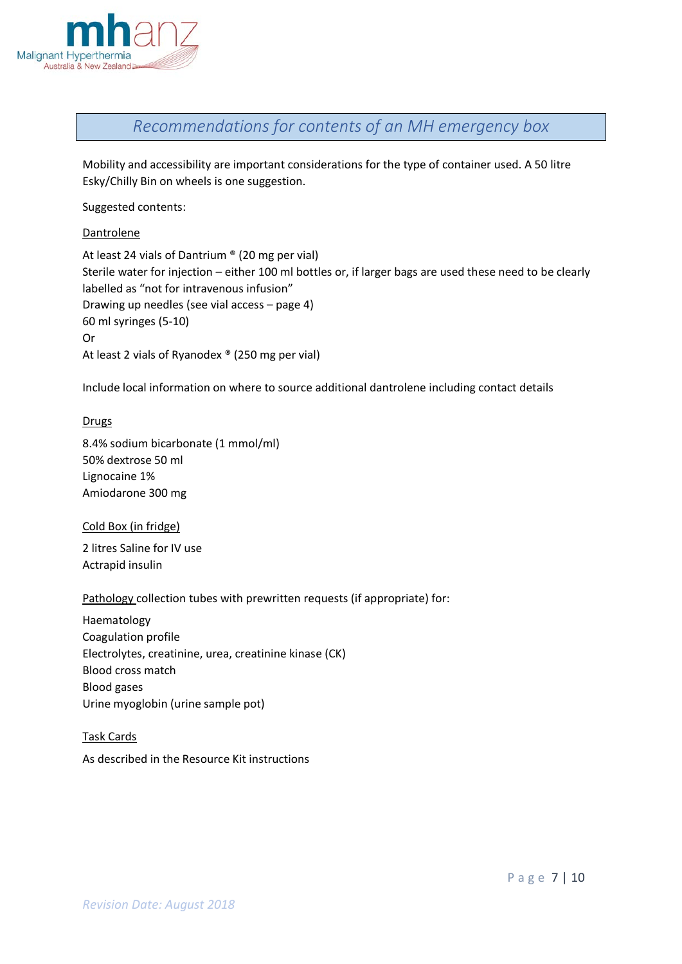

<span id="page-6-0"></span>*Recommendations for contents of an MH emergency box*

Mobility and accessibility are important considerations for the type of container used. A 50 litre Esky/Chilly Bin on wheels is one suggestion.

Suggested contents:

#### Dantrolene

At least 24 vials of Dantrium ® (20 mg per vial) Sterile water for injection – either 100 ml bottles or, if larger bags are used these need to be clearly labelled as "not for intravenous infusion" Drawing up needles (see vial access – page 4) 60 ml syringes (5-10) Or At least 2 vials of Ryanodex ® (250 mg per vial)

Include local information on where to source additional dantrolene including contact details

#### Drugs

8.4% sodium bicarbonate (1 mmol/ml) 50% dextrose 50 ml Lignocaine 1% Amiodarone 300 mg

#### Cold Box (in fridge)

2 litres Saline for IV use Actrapid insulin

#### Pathology collection tubes with prewritten requests (if appropriate) for:

Haematology Coagulation profile Electrolytes, creatinine, urea, creatinine kinase (CK) Blood cross match Blood gases Urine myoglobin (urine sample pot)

#### Task Cards

As described in the Resource Kit instructions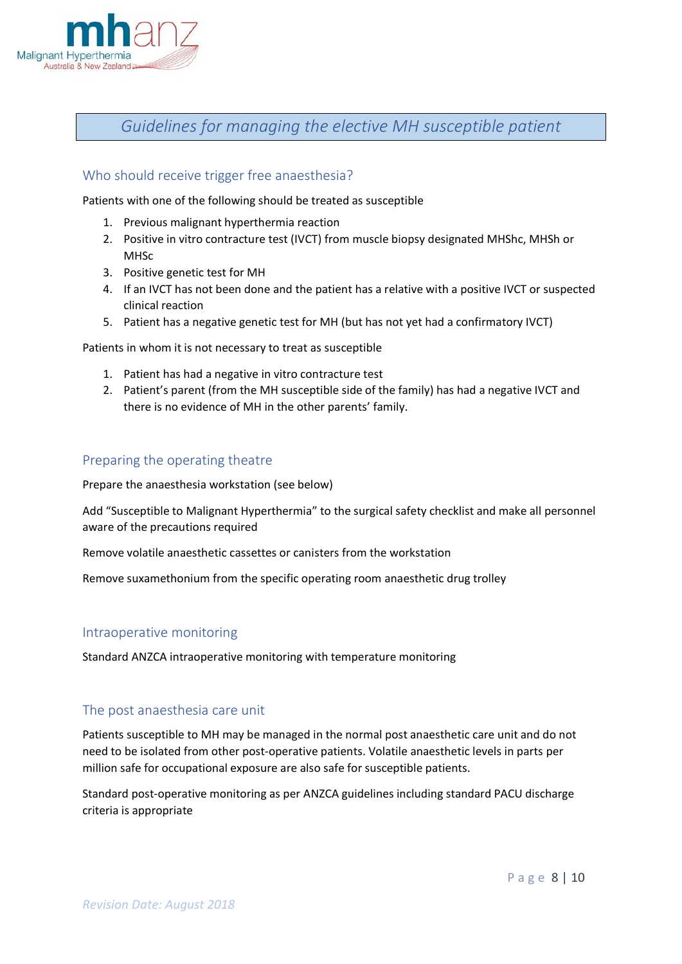

<span id="page-7-0"></span>*Guidelines for managing the elective MH susceptible patient*

## <span id="page-7-1"></span>Who should receive trigger free anaesthesia?

Patients with one of the following should be treated as susceptible

- 1. Previous malignant hyperthermia reaction
- 2. Positive in vitro contracture test (IVCT) from muscle biopsy designated MHShc, MHSh or MHSc
- 3. Positive genetic test for MH
- 4. If an IVCT has not been done and the patient has a relative with a positive IVCT or suspected clinical reaction
- 5. Patient has a negative genetic test for MH (but has not yet had a confirmatory IVCT)

Patients in whom it is not necessary to treat as susceptible

- 1. Patient has had a negative in vitro contracture test
- 2. Patient's parent (from the MH susceptible side of the family) has had a negative IVCT and there is no evidence of MH in the other parents' family.

## <span id="page-7-2"></span>Preparing the operating theatre

Prepare the anaesthesia workstation (see below)

Add "Susceptible to Malignant Hyperthermia" to the surgical safety checklist and make all personnel aware of the precautions required

Remove volatile anaesthetic cassettes or canisters from the workstation

Remove suxamethonium from the specific operating room anaesthetic drug trolley

#### <span id="page-7-3"></span>Intraoperative monitoring

Standard ANZCA intraoperative monitoring with temperature monitoring

## <span id="page-7-4"></span>The post anaesthesia care unit

Patients susceptible to MH may be managed in the normal post anaesthetic care unit and do not need to be isolated from other post-operative patients. Volatile anaesthetic levels in parts per million safe for occupational exposure are also safe for susceptible patients.

Standard post-operative monitoring as per ANZCA guidelines including standard PACU discharge criteria is appropriate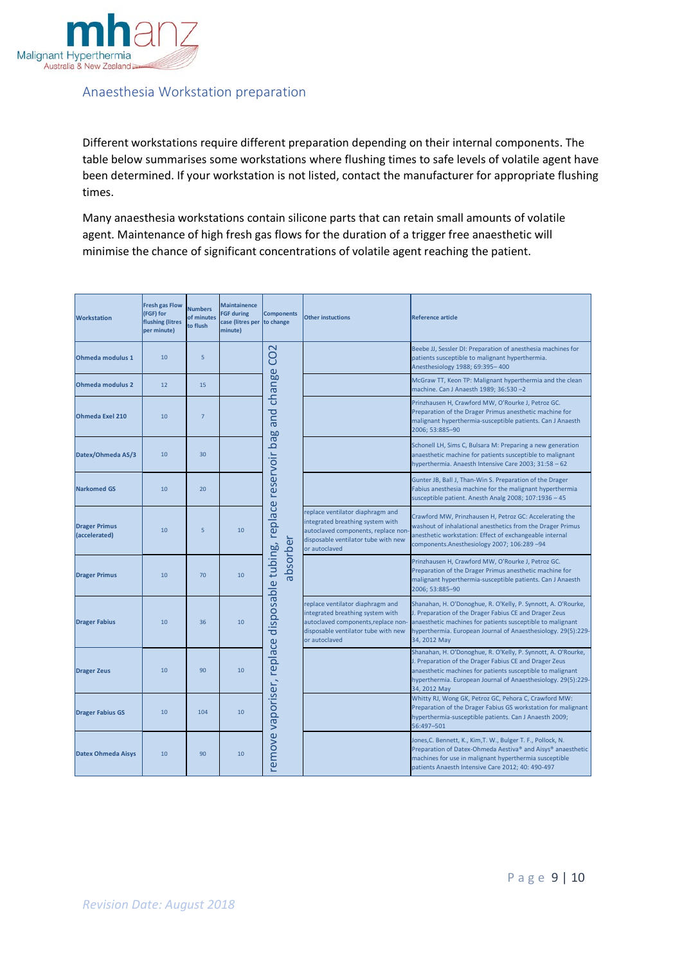

## <span id="page-8-0"></span>Anaesthesia Workstation preparation

Different workstations require different preparation depending on their internal components. The table below summarises some workstations where flushing times to safe levels of volatile agent have been determined. If your workstation is not listed, contact the manufacturer for appropriate flushing times.

Many anaesthesia workstations contain silicone parts that can retain small amounts of volatile agent. Maintenance of high fresh gas flows for the duration of a trigger free anaesthetic will minimise the chance of significant concentrations of volatile agent reaching the patient.

| <b>Workstation</b>                    | <b>Fresh gas Flow</b><br>(FGF) for<br>flushing (litres<br>per minute) | <b>Numbers</b><br>of minutes<br>to flush | <b>Maintainence</b><br><b>FGF during</b><br>case (litres per<br>minute) | <b>Components</b><br>to change | <b>Other instuctions</b>                                                                                                                                            | <b>Reference article</b>                                                                                                                                                                                                                                               |
|---------------------------------------|-----------------------------------------------------------------------|------------------------------------------|-------------------------------------------------------------------------|--------------------------------|---------------------------------------------------------------------------------------------------------------------------------------------------------------------|------------------------------------------------------------------------------------------------------------------------------------------------------------------------------------------------------------------------------------------------------------------------|
| <b>Ohmeda modulus 1</b>               | 10                                                                    | 5                                        |                                                                         | $\mathbf 2$<br>8               |                                                                                                                                                                     | Beebe JJ, Sessler DI: Preparation of anesthesia machines for<br>patients susceptible to malignant hyperthermia.<br>Anesthesiology 1988; 69:395-400                                                                                                                     |
| <b>Ohmeda modulus 2</b>               | 12                                                                    | 15                                       |                                                                         | change                         |                                                                                                                                                                     | McGraw TT, Keon TP: Malignant hyperthermia and the clean<br>machine. Can J Anaesth 1989; 36:530-2                                                                                                                                                                      |
| <b>Ohmeda Exel 210</b>                | 10                                                                    | $\overline{7}$                           |                                                                         | and                            |                                                                                                                                                                     | Prinzhausen H, Crawford MW, O'Rourke J, Petroz GC.<br>Preparation of the Drager Primus anesthetic machine for<br>malignant hyperthermia-susceptible patients. Can J Anaesth<br>2006: 53:885-90                                                                         |
| Datex/Ohmeda AS/3                     | 10                                                                    | 30                                       |                                                                         | <b>bag</b>                     |                                                                                                                                                                     | Schonell LH, Sims C, Bulsara M: Preparing a new generation<br>anaesthetic machine for patients susceptible to malignant<br>hyperthermia. Anaesth Intensive Care 2003; 31:58 - 62                                                                                       |
| <b>Narkomed GS</b>                    | 10                                                                    | 20                                       |                                                                         | replace reservoir              |                                                                                                                                                                     | Gunter JB, Ball J, Than-Win S. Preparation of the Drager<br>Fabius anesthesia machine for the malignant hyperthermia<br>susceptible patient. Anesth Analg 2008; 107:1936 - 45                                                                                          |
| <b>Drager Primus</b><br>(accelerated) | 10                                                                    | 5                                        | 10                                                                      |                                | replace ventilator diaphragm and<br>integrated breathing system with<br>autoclaved components, replace non<br>disposable ventilator tube with new<br>or autoclaved  | Crawford MW, Prinzhausen H, Petroz GC: Accelerating the<br>washout of inhalational anesthetics from the Drager Primus<br>anesthetic workstation: Effect of exchangeable internal<br>components.Anesthesiology 2007; 106:289-94                                         |
| <b>Drager Primus</b>                  | 10                                                                    | 70                                       | 10                                                                      | absorber<br>disposable tubing, |                                                                                                                                                                     | Prinzhausen H, Crawford MW, O'Rourke J, Petroz GC.<br>Preparation of the Drager Primus anesthetic machine for<br>malignant hyperthermia-susceptible patients. Can J Anaesth<br>2006; 53:885-90                                                                         |
| <b>Drager Fabius</b>                  | 10                                                                    | 36                                       | 10                                                                      |                                | replace ventilator diaphragm and<br>integrated breathing system with<br>autoclaved components, replace non-<br>disposable ventilator tube with new<br>or autoclaved | Shanahan, H. O'Donoghue, R. O'Kelly, P. Synnott, A. O'Rourke,<br>J. Preparation of the Drager Fabius CE and Drager Zeus<br>anaesthetic machines for patients susceptible to malignant<br>hyperthermia. European Journal of Anaesthesiology. 29(5):229-<br>34, 2012 May |
| <b>Drager Zeus</b>                    | 10                                                                    | 90                                       | 10                                                                      | remove vaporiser, replace      |                                                                                                                                                                     | Shanahan, H. O'Donoghue, R. O'Kelly, P. Synnott, A. O'Rourke,<br>J. Preparation of the Drager Fabius CE and Drager Zeus<br>anaesthetic machines for patients susceptible to malignant<br>hyperthermia. European Journal of Anaesthesiology. 29(5):229-<br>34, 2012 May |
| <b>Drager Fabius GS</b>               | 10                                                                    | 104                                      | 10                                                                      |                                |                                                                                                                                                                     | Whitty RJ, Wong GK, Petroz GC, Pehora C, Crawford MW:<br>Preparation of the Drager Fabius GS workstation for malignant<br>hyperthermia-susceptible patients. Can J Anaesth 2009;<br>56:497-501                                                                         |
| <b>Datex Ohmeda Aisys</b>             | 10                                                                    | 90                                       | 10                                                                      |                                |                                                                                                                                                                     | Jones, C. Bennett, K., Kim, T. W., Bulger T. F., Pollock, N.<br>Preparation of Datex-Ohmeda Aestiva® and Aisys® anaesthetic<br>machines for use in malignant hyperthermia susceptible<br>patients Anaesth Intensive Care 2012; 40: 490-497                             |